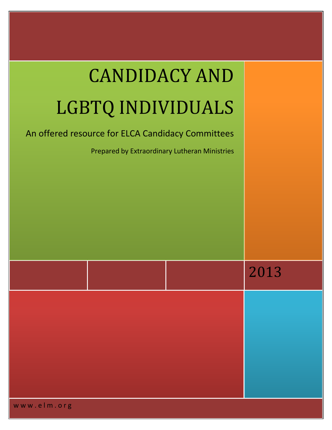| <b>CANDIDACY AND</b>                                                                               |      |
|----------------------------------------------------------------------------------------------------|------|
| LGBTQ INDIVIDUALS                                                                                  |      |
| An offered resource for ELCA Candidacy Committees<br>Prepared by Extraordinary Lutheran Ministries |      |
|                                                                                                    |      |
|                                                                                                    | 2013 |
|                                                                                                    |      |

www.elm.org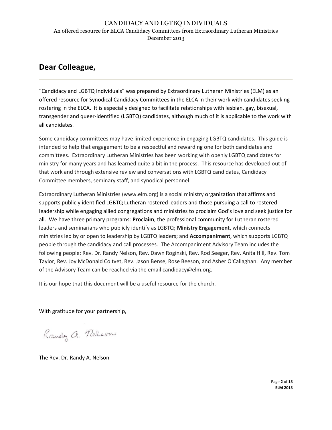# **Dear Colleague,**

"Candidacy and LGBTQ Individuals" was prepared by Extraordinary Lutheran Ministries (ELM) as an offered resource for Synodical Candidacy Committees in the ELCA in their work with candidates seeking rostering in the ELCA. It is especially designed to facilitate relationships with lesbian, gay, bisexual, transgender and queer-identified (LGBTQ) candidates, although much of it is applicable to the work with all candidates.

Some candidacy committees may have limited experience in engaging LGBTQ candidates. This guide is intended to help that engagement to be a respectful and rewarding one for both candidates and committees. Extraordinary Lutheran Ministries has been working with openly LGBTQ candidates for ministry for many years and has learned quite a bit in the process. This resource has developed out of that work and through extensive review and conversations with LGBTQ candidates, Candidacy Committee members, seminary staff, and synodical personnel.

Extraordinary Lutheran Ministries (www.elm.org) is a social ministry organization that affirms and supports publicly identified LGBTQ Lutheran rostered leaders and those pursuing a call to rostered leadership while engaging allied congregations and ministries to proclaim God's love and seek justice for all. We have three primary programs: **Proclaim**, the professional community for Lutheran rostered leaders and seminarians who publicly identify as LGBTQ; **Ministry Engagement**, which connects ministries led by or open to leadership by LGBTQ leaders; and **Accompaniment**, which supports LGBTQ people through the candidacy and call processes. The Accompaniment Advisory Team includes the following people: Rev. Dr. Randy Nelson, Rev. Dawn Roginski, Rev. Rod Seeger, Rev. Anita Hill, Rev. Tom Taylor, Rev. Joy McDonald Coltvet, Rev. Jason Bense, Rose Beeson, and Asher O'Callaghan. Any member of the Advisory Team can be reached via the email candidacy@elm.org.

It is our hope that this document will be a useful resource for the church.

With gratitude for your partnership,

Randy a. Nelson

The Rev. Dr. Randy A. Nelson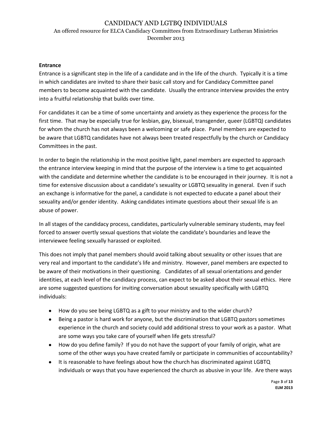#### **Entrance**

Entrance is a significant step in the life of a candidate and in the life of the church. Typically it is a time in which candidates are invited to share their basic call story and for Candidacy Committee panel members to become acquainted with the candidate. Usually the entrance interview provides the entry into a fruitful relationship that builds over time.

For candidates it can be a time of some uncertainty and anxiety as they experience the process for the first time. That may be especially true for lesbian, gay, bisexual, transgender, queer (LGBTQ) candidates for whom the church has not always been a welcoming or safe place. Panel members are expected to be aware that LGBTQ candidates have not always been treated respectfully by the church or Candidacy Committees in the past.

In order to begin the relationship in the most positive light, panel members are expected to approach the entrance interview keeping in mind that the purpose of the interview is a time to get acquainted with the candidate and determine whether the candidate is to be encouraged in their journey. It is not a time for extensive discussion about a candidate's sexuality or LGBTQ sexuality in general. Even if such an exchange is informative for the panel, a candidate is not expected to educate a panel about their sexuality and/or gender identity. Asking candidates intimate questions about their sexual life is an abuse of power.

In all stages of the candidacy process, candidates, particularly vulnerable seminary students, may feel forced to answer overtly sexual questions that violate the candidate's boundaries and leave the interviewee feeling sexually harassed or exploited.

This does not imply that panel members should avoid talking about sexuality or other issues that are very real and important to the candidate's life and ministry. However, panel members are expected to be aware of their motivations in their questioning. Candidates of all sexual orientations and gender identities, at each level of the candidacy process, can expect to be asked about their sexual ethics. Here are some suggested questions for inviting conversation about sexuality specifically with LGBTQ individuals:

- How do you see being LGBTQ as a gift to your ministry and to the wider church?
- Being a pastor is hard work for anyone, but the discrimination that LGBTQ pastors sometimes  $\bullet$ experience in the church and society could add additional stress to your work as a pastor. What are some ways you take care of yourself when life gets stressful?
- How do you define family? If you do not have the support of your family of origin, what are some of the other ways you have created family or participate in communities of accountability?
- It is reasonable to have feelings about how the church has discriminated against LGBTQ individuals or ways that you have experienced the church as abusive in your life. Are there ways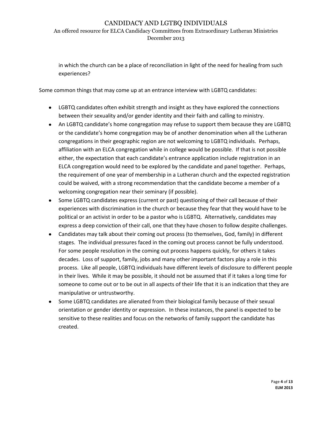# CANDIDACY AND LGTBQ INDIVIDUALS

An offered resource for ELCA Candidacy Committees from Extraordinary Lutheran Ministries December 2013

in which the church can be a place of reconciliation in light of the need for healing from such experiences?

Some common things that may come up at an entrance interview with LGBTQ candidates:

- LGBTQ candidates often exhibit strength and insight as they have explored the connections between their sexuality and/or gender identity and their faith and calling to ministry.
- An LGBTQ candidate's home congregation may refuse to support them because they are LGBTQ or the candidate's home congregation may be of another denomination when all the Lutheran congregations in their geographic region are not welcoming to LGBTQ individuals. Perhaps, affiliation with an ELCA congregation while in college would be possible. If that is not possible either, the expectation that each candidate's entrance application include registration in an ELCA congregation would need to be explored by the candidate and panel together. Perhaps, the requirement of one year of membership in a Lutheran church and the expected registration could be waived, with a strong recommendation that the candidate become a member of a welcoming congregation near their seminary (if possible).
- Some LGBTQ candidates express (current or past) questioning of their call because of their experiences with discrimination in the church or because they fear that they would have to be political or an activist in order to be a pastor who is LGBTQ. Alternatively, candidates may express a deep conviction of their call, one that they have chosen to follow despite challenges.
- Candidates may talk about their coming out process (to themselves, God, family) in different stages. The individual pressures faced in the coming out process cannot be fully understood. For some people resolution in the coming out process happens quickly, for others it takes decades. Loss of support, family, jobs and many other important factors play a role in this process. Like all people, LGBTQ individuals have different levels of disclosure to different people in their lives. While it may be possible, it should not be assumed that if it takes a long time for someone to come out or to be out in all aspects of their life that it is an indication that they are manipulative or untrustworthy.
- Some LGBTQ candidates are alienated from their biological family because of their sexual orientation or gender identity or expression. In these instances, the panel is expected to be sensitive to these realities and focus on the networks of family support the candidate has created.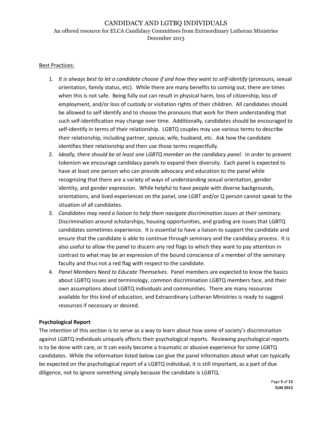#### Best Practices:

- 1. *It is always best to let a candidate choose if and how they want to self-identify* (pronouns, sexual orientation, family status, etc). While there are many benefits to coming out, there are times when this is not safe. Being fully out can result in physical harm, loss of citizenship, loss of employment, and/or loss of custody or visitation rights of their children. All candidates should be allowed to self identify and to choose the pronouns that work for them understanding that such self-identification may change over time. Additionally, candidates should be encouraged to self-identify in terms of their relationship. LGBTQ couples may use various terms to describe their relationship, including partner, spouse, wife, husband, etc. Ask how the candidate identifies their relationship and then use those terms respectfully.
- 2. *Ideally, there should be at least one LGBTQ member on the candidacy panel.* In order to prevent tokenism we encourage candidacy panels to expand their diversity. Each panel is expected to have at least one person who can provide advocacy and education to the panel while recognizing that there are a variety of ways of understanding sexual orientation, gender identity, and gender expression. While helpful to have people with diverse backgrounds, orientations, and lived experiences on the panel, one LGBT and/or Q person cannot speak to the situation of all candidates.
- 3. *Candidates may need a liaison to help them navigate discrimination issues at their seminary.*  Discrimination around scholarships, housing opportunities, and grading are issues that LGBTQ candidates sometimes experience. It is essential to have a liaison to support the candidate and ensure that the candidate is able to continue through seminary and the candidacy process. It is also useful to allow the panel to discern any red flags to which they want to pay attention in contrast to what may be an expression of the bound conscience of a member of the seminary faculty and thus not a red flag with respect to the candidate.
- 4. *Panel Members Need to Educate Themselves.* Panel members are expected to know the basics about LGBTQ issues and terminology, common discrimination LGBTQ members face, and their own assumptions about LGBTQ individuals and communities. There are many resources available for this kind of education, and Extraordinary Lutheran Ministries is ready to suggest resources if necessary or desired.

### **Psychological Report**

The intention of this section is to serve as a way to learn about how some of society's discrimination against LGBTQ individuals uniquely affects their psychological reports. Reviewing psychological reports is to be done with care, or it can easily become a traumatic or abusive experience for some LGBTQ candidates. While the information listed below can give the panel information about what can typically be expected on the psychological report of a LGBTQ individual, it is still important, as a part of due diligence, not to ignore something simply because the candidate is LGBTQ.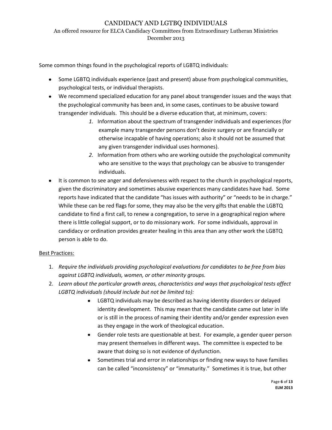### December 2013

Some common things found in the psychological reports of LGBTQ individuals:

- Some LGBTQ individuals experience (past and present) abuse from psychological communities, psychological tests, or individual therapists.
- We recommend specialized education for any panel about transgender issues and the ways that the psychological community has been and, in some cases, continues to be abusive toward transgender individuals. This should be a diverse education that, at minimum, covers:
	- *1.* Information about the spectrum of transgender individuals and experiences (for example many transgender persons don't desire surgery or are financially or otherwise incapable of having operations; also it should not be assumed that any given transgender individual uses hormones).
	- *2.* Information from others who are working outside the psychological community who are sensitive to the ways that psychology can be abusive to transgender individuals.
- It is common to see anger and defensiveness with respect to the church in psychological reports, given the discriminatory and sometimes abusive experiences many candidates have had. Some reports have indicated that the candidate "has issues with authority" or "needs to be in charge." While these can be red flags for some, they may also be the very gifts that enable the LGBTQ candidate to find a first call, to renew a congregation, to serve in a geographical region where there is little collegial support, or to do missionary work. For some individuals, approval in candidacy or ordination provides greater healing in this area than any other work the LGBTQ person is able to do.

# Best Practices:

- 1. *Require the individuals providing psychological evaluations for candidates to be free from bias against LGBTQ individuals, women, or other minority groups.*
- 2. *Learn about the particular growth areas, characteristics and ways that psychological tests affect LGBTQ individuals (should include but not be limited to):*
	- LGBTQ individuals may be described as having identity disorders or delayed identity development. This may mean that the candidate came out later in life or is still in the process of naming their identity and/or gender expression even as they engage in the work of theological education.
	- Gender role tests are questionable at best. For example, a gender queer person may present themselves in different ways. The committee is expected to be aware that doing so is not evidence of dysfunction.
	- Sometimes trial and error in relationships or finding new ways to have families can be called "inconsistency" or "immaturity." Sometimes it is true, but other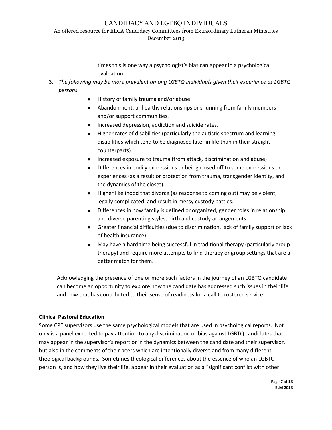# CANDIDACY AND LGTBQ INDIVIDUALS

An offered resource for ELCA Candidacy Committees from Extraordinary Lutheran Ministries December 2013

> times this is one way a psychologist's bias can appear in a psychological evaluation.

- 3. *The following may be more prevalent among LGBTQ individuals given their experience as LGBTQ persons*:
	- History of family trauma and/or abuse.
	- Abandonment, unhealthy relationships or shunning from family members and/or support communities.
	- Increased depression, addiction and suicide rates.
	- $\bullet$ Higher rates of disabilities (particularly the autistic spectrum and learning disabilities which tend to be diagnosed later in life than in their straight counterparts)
	- Increased exposure to trauma (from attack, discrimination and abuse)
	- Differences in bodily expressions or being closed off to some expressions or experiences (as a result or protection from trauma, transgender identity, and the dynamics of the closet).
	- Higher likelihood that divorce (as response to coming out) may be violent,  $\bullet$ legally complicated, and result in messy custody battles.
	- Differences in how family is defined or organized, gender roles in relationship and diverse parenting styles, birth and custody arrangements.
	- Greater financial difficulties (due to discrimination, lack of family support or lack of health insurance).
	- May have a hard time being successful in traditional therapy (particularly group therapy) and require more attempts to find therapy or group settings that are a better match for them.

Acknowledging the presence of one or more such factors in the journey of an LGBTQ candidate can become an opportunity to explore how the candidate has addressed such issues in their life and how that has contributed to their sense of readiness for a call to rostered service.

# **Clinical Pastoral Education**

Some CPE supervisors use the same psychological models that are used in psychological reports. Not only is a panel expected to pay attention to any discrimination or bias against LGBTQ candidates that may appear in the supervisor's report or in the dynamics between the candidate and their supervisor, but also in the comments of their peers which are intentionally diverse and from many different theological backgrounds. Sometimes theological differences about the essence of who an LGBTQ person is, and how they live their life, appear in their evaluation as a "significant conflict with other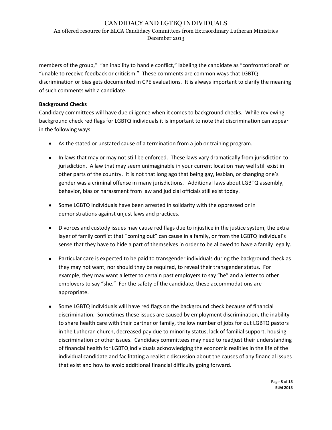#### December 2013

members of the group," "an inability to handle conflict," labeling the candidate as "confrontational" or "unable to receive feedback or criticism." These comments are common ways that LGBTQ discrimination or bias gets documented in CPE evaluations. It is always important to clarify the meaning of such comments with a candidate.

### **Background Checks**

Candidacy committees will have due diligence when it comes to background checks. While reviewing background check red flags for LGBTQ individuals it is important to note that discrimination can appear in the following ways:

- As the stated or unstated cause of a termination from a job or training program.
- In laws that may or may not still be enforced. These laws vary dramatically from jurisdiction to jurisdiction. A law that may seem unimaginable in your current location may well still exist in other parts of the country. It is not that long ago that being gay, lesbian, or changing one's gender was a criminal offense in many jurisdictions. Additional laws about LGBTQ assembly, behavior, bias or harassment from law and judicial officials still exist today.
- Some LGBTQ individuals have been arrested in solidarity with the oppressed or in demonstrations against unjust laws and practices.
- Divorces and custody issues may cause red flags due to injustice in the justice system, the extra layer of family conflict that "coming out" can cause in a family, or from the LGBTQ individual's sense that they have to hide a part of themselves in order to be allowed to have a family legally.
- Particular care is expected to be paid to transgender individuals during the background check as they may not want, nor should they be required, to reveal their transgender status. For example, they may want a letter to certain past employers to say "he" and a letter to other employers to say "she." For the safety of the candidate, these accommodations are appropriate.
- Some LGBTQ individuals will have red flags on the background check because of financial discrimination. Sometimes these issues are caused by employment discrimination, the inability to share health care with their partner or family, the low number of jobs for out LGBTQ pastors in the Lutheran church, decreased pay due to minority status, lack of familial support, housing discrimination or other issues. Candidacy committees may need to readjust their understanding of financial health for LGBTQ individuals acknowledging the economic realities in the life of the individual candidate and facilitating a realistic discussion about the causes of any financial issues that exist and how to avoid additional financial difficulty going forward.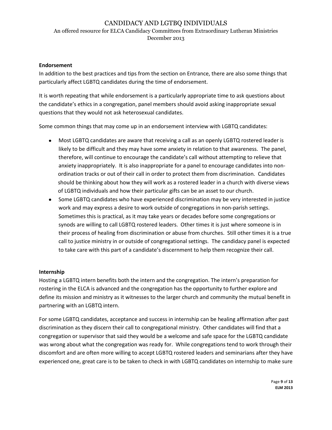#### **Endorsement**

In addition to the best practices and tips from the section on Entrance, there are also some things that particularly affect LGBTQ candidates during the time of endorsement.

It is worth repeating that while endorsement is a particularly appropriate time to ask questions about the candidate's ethics in a congregation, panel members should avoid asking inappropriate sexual questions that they would not ask heterosexual candidates.

Some common things that may come up in an endorsement interview with LGBTQ candidates:

- Most LGBTQ candidates are aware that receiving a call as an openly LGBTQ rostered leader is likely to be difficult and they may have some anxiety in relation to that awareness. The panel, therefore, will continue to encourage the candidate's call without attempting to relieve that anxiety inappropriately. It is also inappropriate for a panel to encourage candidates into nonordination tracks or out of their call in order to protect them from discrimination. Candidates should be thinking about how they will work as a rostered leader in a church with diverse views of LGBTQ individuals and how their particular gifts can be an asset to our church.
- $\bullet$ Some LGBTQ candidates who have experienced discrimination may be very interested in justice work and may express a desire to work outside of congregations in non-parish settings. Sometimes this is practical, as it may take years or decades before some congregations or synods are willing to call LGBTQ rostered leaders. Other times it is just where someone is in their process of healing from discrimination or abuse from churches. Still other times it is a true call to justice ministry in or outside of congregational settings. The candidacy panel is expected to take care with this part of a candidate's discernment to help them recognize their call.

#### **Internship**

Hosting a LGBTQ intern benefits both the intern and the congregation. The intern's preparation for rostering in the ELCA is advanced and the congregation has the opportunity to further explore and define its mission and ministry as it witnesses to the larger church and community the mutual benefit in partnering with an LGBTQ intern.

For some LGBTQ candidates, acceptance and success in internship can be healing affirmation after past discrimination as they discern their call to congregational ministry. Other candidates will find that a congregation or supervisor that said they would be a welcome and safe space for the LGBTQ candidate was wrong about what the congregation was ready for. While congregations tend to work through their discomfort and are often more willing to accept LGBTQ rostered leaders and seminarians after they have experienced one, great care is to be taken to check in with LGBTQ candidates on internship to make sure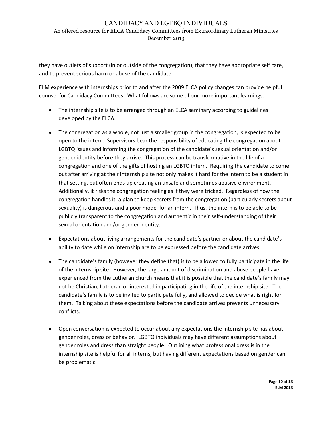December 2013

they have outlets of support (in or outside of the congregation), that they have appropriate self care, and to prevent serious harm or abuse of the candidate.

ELM experience with internships prior to and after the 2009 ELCA policy changes can provide helpful counsel for Candidacy Committees. What follows are some of our more important learnings.

- The internship site is to be arranged through an ELCA seminary according to guidelines developed by the ELCA.
- The congregation as a whole, not just a smaller group in the congregation, is expected to be open to the intern. Supervisors bear the responsibility of educating the congregation about LGBTQ issues and informing the congregation of the candidate's sexual orientation and/or gender identity before they arrive. This process can be transformative in the life of a congregation and one of the gifts of hosting an LGBTQ intern. Requiring the candidate to come out after arriving at their internship site not only makes it hard for the intern to be a student in that setting, but often ends up creating an unsafe and sometimes abusive environment. Additionally, it risks the congregation feeling as if they were tricked. Regardless of how the congregation handles it, a plan to keep secrets from the congregation (particularly secrets about sexuality) is dangerous and a poor model for an intern. Thus, the intern is to be able to be publicly transparent to the congregation and authentic in their self-understanding of their sexual orientation and/or gender identity.
- Expectations about living arrangements for the candidate's partner or about the candidate's ability to date while on internship are to be expressed before the candidate arrives.
- The candidate's family (however they define that) is to be allowed to fully participate in the life of the internship site. However, the large amount of discrimination and abuse people have experienced from the Lutheran church means that it is possible that the candidate's family may not be Christian, Lutheran or interested in participating in the life of the internship site. The candidate's family is to be invited to participate fully, and allowed to decide what is right for them. Talking about these expectations before the candidate arrives prevents unnecessary conflicts.
- Open conversation is expected to occur about any expectations the internship site has about gender roles, dress or behavior. LGBTQ individuals may have different assumptions about gender roles and dress than straight people. Outlining what professional dress is in the internship site is helpful for all interns, but having different expectations based on gender can be problematic.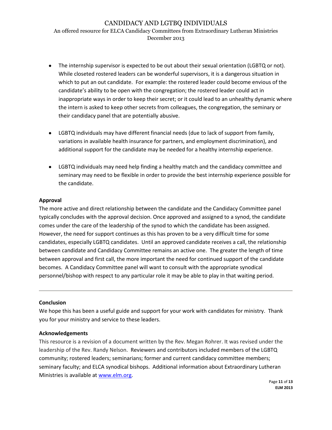#### December 2013

- The internship supervisor is expected to be out about their sexual orientation (LGBTQ or not). While closeted rostered leaders can be wonderful supervisors, it is a dangerous situation in which to put an out candidate. For example: the rostered leader could become envious of the candidate's ability to be open with the congregation; the rostered leader could act in inappropriate ways in order to keep their secret; or it could lead to an unhealthy dynamic where the intern is asked to keep other secrets from colleagues, the congregation, the seminary or their candidacy panel that are potentially abusive.
- LGBTQ individuals may have different financial needs (due to lack of support from family, variations in available health insurance for partners, and employment discrimination), and additional support for the candidate may be needed for a healthy internship experience.
- LGBTQ individuals may need help finding a healthy match and the candidacy committee and seminary may need to be flexible in order to provide the best internship experience possible for the candidate.

### **Approval**

The more active and direct relationship between the candidate and the Candidacy Committee panel typically concludes with the approval decision. Once approved and assigned to a synod, the candidate comes under the care of the leadership of the synod to which the candidate has been assigned. However, the need for support continues as this has proven to be a very difficult time for some candidates, especially LGBTQ candidates. Until an approved candidate receives a call, the relationship between candidate and Candidacy Committee remains an active one. The greater the length of time between approval and first call, the more important the need for continued support of the candidate becomes. A Candidacy Committee panel will want to consult with the appropriate synodical personnel/bishop with respect to any particular role it may be able to play in that waiting period.

#### **Conclusion**

We hope this has been a useful guide and support for your work with candidates for ministry. Thank you for your ministry and service to these leaders.

#### **Acknowledgements**

This resource is a revision of a document written by the Rev. Megan Rohrer. It was revised under the leadership of the Rev. Randy Nelson. Reviewers and contributors included members of the LGBTQ community; rostered leaders; seminarians; former and current candidacy committee members; seminary faculty; and ELCA synodical bishops. Additional information about Extraordinary Lutheran Ministries is available a[t www.elm.org.](http://www.elm.org/)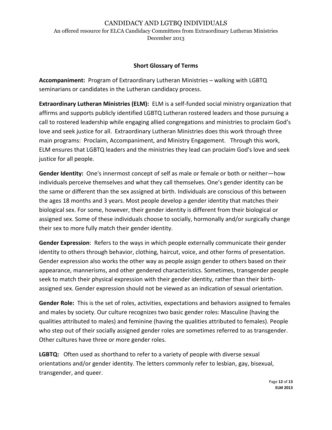# CANDIDACY AND LGTBQ INDIVIDUALS

An offered resource for ELCA Candidacy Committees from Extraordinary Lutheran Ministries December 2013

## **Short Glossary of Terms**

**Accompaniment:** Program of Extraordinary Lutheran Ministries – walking with LGBTQ seminarians or candidates in the Lutheran candidacy process.

**Extraordinary Lutheran Ministries (ELM):** ELM is a self-funded social ministry organization that affirms and supports publicly identified LGBTQ Lutheran rostered leaders and those pursuing a call to rostered leadership while engaging allied congregations and ministries to proclaim God's love and seek justice for all. Extraordinary Lutheran Ministries does this work through three main programs: Proclaim, Accompaniment, and Ministry Engagement. Through this work, ELM ensures that LGBTQ leaders and the ministries they lead can proclaim God's love and seek justice for all people.

**Gender Identity:** One's innermost concept of self as male or female or both or neither—how individuals perceive themselves and what they call themselves. One's gender identity can be the same or different than the sex assigned at birth. Individuals are conscious of this between the ages 18 months and 3 years. Most people develop a gender identity that matches their biological sex. For some, however, their gender identity is different from their biological or assigned sex. Some of these individuals choose to socially, hormonally and/or surgically change their sex to more fully match their gender identity.

**Gender Expression**: Refers to the ways in which people externally communicate their gender identity to others through behavior, clothing, haircut, voice, and other forms of presentation. Gender expression also works the other way as people assign gender to others based on their appearance, mannerisms, and other gendered characteristics. Sometimes, transgender people seek to match their physical expression with their gender identity, rather than their birthassigned sex. Gender expression should not be viewed as an indication of sexual orientation.

**Gender Role:** This is the set of roles, activities, expectations and behaviors assigned to females and males by society. Our culture recognizes two basic gender roles: Masculine (having the qualities attributed to males) and feminine (having the qualities attributed to females). People who step out of their socially assigned gender roles are sometimes referred to as transgender. Other cultures have three or more gender roles.

**LGBTQ:** Often used as shorthand to refer to a variety of people with diverse sexual orientations and/or gender identity. The letters commonly refer to lesbian, gay, bisexual, transgender, and queer.